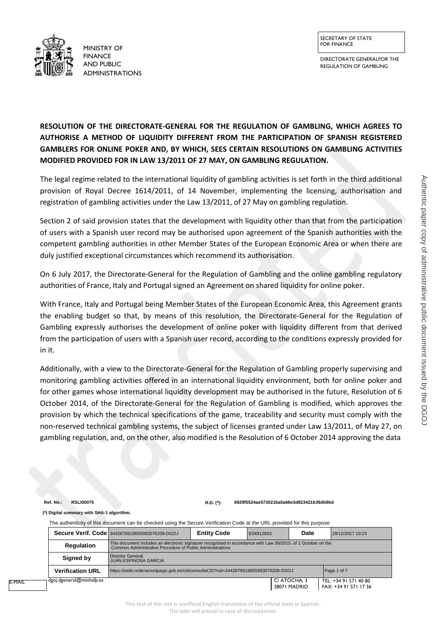DIRECTORATE GENERALFOR THE REGULATION OF GAMBLING



FOR FINANCE FOR FINANCE **FINANCE** AND PUBLIC ADMINISTRATIONS

## **RESOLUTION OF THE DIRECTORATE-GENERAL FOR THE REGULATION OF GAMBLING, WHICH AGREES TO AUTHORISE A METHOD OF LIQUIDITY DIFFERENT FROM THE PARTICIPATION OF SPANISH REGISTERED GAMBLERS FOR ONLINE POKER AND, BY WHICH, SEES CERTAIN RESOLUTIONS ON GAMBLING ACTIVITIES MODIFIED PROVIDED FOR IN LAW 13/2011 OF 27 MAY, ON GAMBLING REGULATION.**

The legal regime related to the international liquidity of gambling activities is set forth in the third additional provision of Royal Decree 1614/2011, of 14 November, implementing the licensing, authorisation and registration of gambling activities under the Law 13/2011, of 27 May on gambling regulation.

Section 2 of said provision states that the development with liquidity other than that from the participation of users with a Spanish user record may be authorised upon agreement of the Spanish authorities with the competent gambling authorities in other Member States of the European Economic Area or when there are duly justified exceptional circumstances which recommend its authorisation.

On 6 July 2017, the Directorate-General for the Regulation of Gambling and the online gambling regulatory authorities of France, Italy and Portugal signed an Agreement on shared liquidity for online poker.

With France, Italy and Portugal being Member States of the European Economic Area, this Agreement grants the enabling budget so that, by means of this resolution, the Directorate-General for the Regulation of Gambling expressly authorises the development of online poker with liquidity different from that derived from the participation of users with a Spanish user record, according to the conditions expressly provided for in it.

Additionally, with a view to the Directorate-General for the Regulation of Gambling properly supervising and monitoring gambling activities offered in an international liquidity environment, both for online poker and for other games whose international liquidity development may be authorised in the future, Resolution of 6 October 2014, of the Directorate-General for the Regulation of Gambling is modified, which approves the provision by which the technical specifications of the game, traceability and security must comply with the non-reserved technical gambling systems, the subject of licenses granted under Law 13/2011, of May 27, on gambling regulation, and, on the other, also modified is the Resolution of 6 October 2014 approving the data

**Ref. No.: RSL/00075 R.D. (\*): 6929f5524ae5730216a5a66e3d823421b36db9bd**

**(\*) Digital summary with SHA-1 algorithm.**

The authenticity of this document can be checked using the Secure Verification Code at the URL provided for this purpose

|                                                                                                                                                                                                 |                                                               | <b>Secure Verif. Code 3442876919605983076209-DGOJ</b> | <b>Entity Code</b> | E04912603 | Date                        | 29/12/2017 10:23                               |  |
|-------------------------------------------------------------------------------------------------------------------------------------------------------------------------------------------------|---------------------------------------------------------------|-------------------------------------------------------|--------------------|-----------|-----------------------------|------------------------------------------------|--|
| This document includes an electronic signature recognised in accordance with Law 39/2015, of 1 October on the<br><b>Regulation</b><br>Common Administrative Procedure of Public Administrations |                                                               |                                                       |                    |           |                             |                                                |  |
|                                                                                                                                                                                                 | Director General.<br>Signed by<br><b>JUAN ESPINOSA GARCIA</b> |                                                       |                    |           |                             |                                                |  |
| <b>Verification URL</b><br>https://sede.ordenacionjuego.gob.es/cid/consultaCID?cid=3442876919605983076209-DGOJ                                                                                  |                                                               |                                                       |                    |           |                             | Page 1 of 7                                    |  |
| E-MAIL                                                                                                                                                                                          | dgoj.dgeneral@minhafp.es                                      |                                                       |                    |           | C/ATOCHA, 3<br>28071 MADRID | TEL: +34 91 571 40 80<br>FAX: +34 91 571 17 36 |  |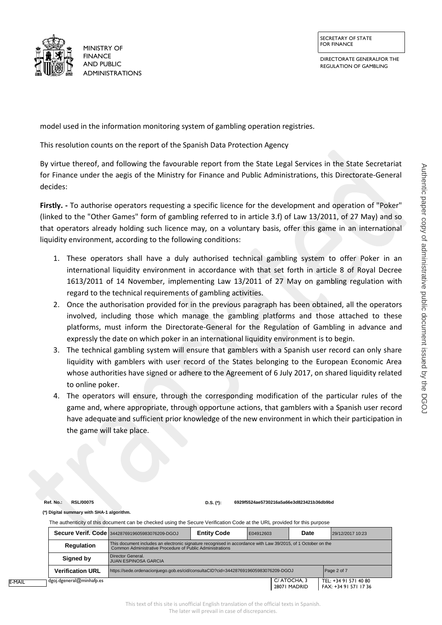DIRECTORATE GENERALFOR THE REGULATION OF GAMBLING



FOR FINANCE FOR FINANCE **FINANCE** AND PUBLIC ADMINISTRATIONS

model used in the information monitoring system of gambling operation registries.

This resolution counts on the report of the Spanish Data Protection Agency

By virtue thereof, and following the favourable report from the State Legal Services in the State Secretariat for Finance under the aegis of the Ministry for Finance and Public Administrations, this Directorate-General decides:

**Firstly. -** To authorise operators requesting a specific licence for the development and operation of "Poker" (linked to the "Other Games" form of gambling referred to in article 3.f) of Law 13/2011, of 27 May) and so that operators already holding such licence may, on a voluntary basis, offer this game in an international liquidity environment, according to the following conditions:

- 1. These operators shall have a duly authorised technical gambling system to offer Poker in an international liquidity environment in accordance with that set forth in article 8 of Royal Decree 1613/2011 of 14 November, implementing Law 13/2011 of 27 May on gambling regulation with regard to the technical requirements of gambling activities.
- 2. Once the authorisation provided for in the previous paragraph has been obtained, all the operators involved, including those which manage the gambling platforms and those attached to these platforms, must inform the Directorate-General for the Regulation of Gambling in advance and expressly the date on which poker in an international liquidity environment is to begin.
- 3. The technical gambling system will ensure that gamblers with a Spanish user record can only share liquidity with gamblers with user record of the States belonging to the European Economic Area whose authorities have signed or adhere to the Agreement of 6 July 2017, on shared liquidity related to online poker.
- 4. The operators will ensure, through the corresponding modification of the particular rules of the game and, where appropriate, through opportune actions, that gamblers with a Spanish user record have adequate and sufficient prior knowledge of the new environment in which their participation in the game will take place.

**Ref. No.: RSL/00075 D.S. (\*): 6929f5524ae5730216a5a66e3d823421b36db9bd**

**(\*) Digital summary with SHA-1 algorithm.**

The authenticity of this document can be checked using the Secure Verification Code at the URL provided for this purpose

|                                                                                                                                                                                                 |                          | Secure Verif. Code 3442876919605983076209-DGOJ | <b>Entity Code</b> | E04912603 | Date                         | 29/12/2017 10:23                               |
|-------------------------------------------------------------------------------------------------------------------------------------------------------------------------------------------------|--------------------------|------------------------------------------------|--------------------|-----------|------------------------------|------------------------------------------------|
| This document includes an electronic signature recognised in accordance with Law 39/2015, of 1 October on the<br><b>Regulation</b><br>Common Administrative Procedure of Public Administrations |                          |                                                |                    |           |                              |                                                |
| Director General.<br>Signed by<br><b>JUAN ESPINOSA GARCIA</b><br><b>Verification URL</b><br>https://sede.ordenacionjuego.gob.es/cid/consultaCID?cid=3442876919605983076209-DGOJ                 |                          |                                                |                    |           |                              |                                                |
|                                                                                                                                                                                                 |                          |                                                |                    |           |                              | Page 2 of 7                                    |
| E-MAIL                                                                                                                                                                                          | dgoj.dgeneral@minhafp.es |                                                |                    |           | C/ ATOCHA, 3<br>28071 MADRID | TEL: +34 91 571 40 80<br>FAX: +34 91 571 17 36 |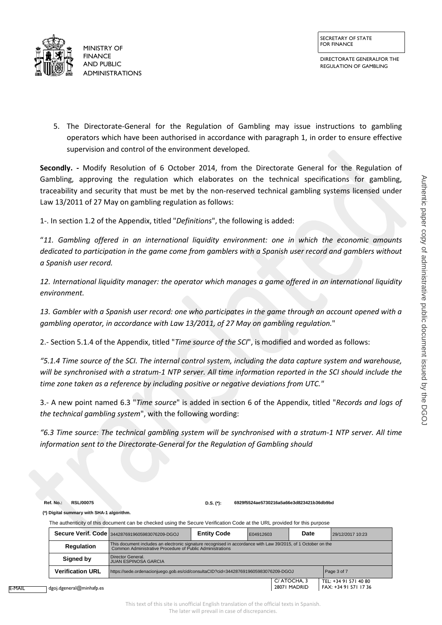



FOR FINANCE FOR FINANCE **FINANCE** AND PUBLIC ADMINISTRATIONS

5. The Directorate-General for the Regulation of Gambling may issue instructions to gambling operators which have been authorised in accordance with paragraph 1, in order to ensure effective supervision and control of the environment developed.

**Secondly. -** Modify Resolution of 6 October 2014, from the Directorate General for the Regulation of Gambling, approving the regulation which elaborates on the technical specifications for gambling, traceability and security that must be met by the non-reserved technical gambling systems licensed under Law 13/2011 of 27 May on gambling regulation as follows:

1-. In section 1.2 of the Appendix, titled "*Definitions*", the following is added:

"*11. Gambling offered in an international liquidity environment: one in which the economic amounts dedicated to participation in the game come from gamblers with a Spanish user record and gamblers without a Spanish user record.*

*12. International liquidity manager: the operator which manages a game offered in an international liquidity environment.*

*13. Gambler with a Spanish user record: one who participates in the game through an account opened with a gambling operator, in accordance with Law 13/2011, of 27 May on gambling regulation.*"

2.- Section 5.1.4 of the Appendix, titled "*Time source of the SCI*", is modified and worded as follows:

*"5.1.4 Time source of the SCI. The internal control system, including the data capture system and warehouse, will be synchronised with a stratum-1 NTP server. All time information reported in the SCI should include the time zone taken as a reference by including positive or negative deviations from UTC."*

3.- A new point named 6.3 "*Time source*" is added in section 6 of the Appendix, titled "*Records and logs of the technical gambling system*", with the following wording:

*"6.3 Time source: The technical gambling system will be synchronised with a stratum-1 NTP server. All time information sent to the Directorate-General for the Regulation of Gambling should*

**Ref. No.: RSL/00075 D.S. (\*): 6929f5524ae5730216a5a66e3d823421b36db9bd**

**(\*) Digital summary with SHA-1 algorithm.**

The authenticity of this document can be checked using the Secure Verification Code at the URL provided for this purpose

|                                                                                                                                                                                                 | Secure Verif. Code 3442876919605983076209-DGOJ | <b>Entity Code</b> | E04912603 | Date                         | 29/12/2017 10:23                               |
|-------------------------------------------------------------------------------------------------------------------------------------------------------------------------------------------------|------------------------------------------------|--------------------|-----------|------------------------------|------------------------------------------------|
| This document includes an electronic signature recognised in accordance with Law 39/2015, of 1 October on the<br><b>Regulation</b><br>Common Administrative Procedure of Public Administrations |                                                |                    |           |                              |                                                |
| Director General.<br>Signed by<br><b>JUAN ESPINOSA GARCIA</b>                                                                                                                                   |                                                |                    |           |                              |                                                |
| <b>Verification URL</b><br>https://sede.ordenacionjuego.gob.es/cid/consultaCID?cid=3442876919605983076209-DGOJ                                                                                  |                                                |                    |           | Page 3 of 7                  |                                                |
| dgoi.dgeneral@minhafp.es                                                                                                                                                                        |                                                |                    |           | C/ ATOCHA, 3<br>28071 MADRID | TEL: +34 91 571 40 80<br>FAX: +34 91 571 17 36 |

E-MAIL

dgoj.dgeneral@minhafp.es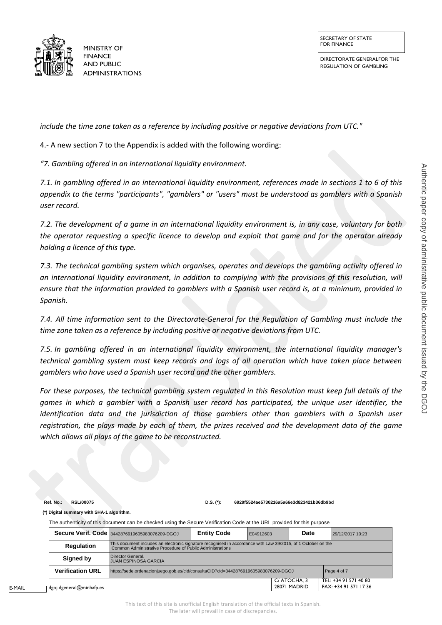DIRECTORATE GENERALFOR THE REGULATION OF GAMBLING



FOR FINANCE FOR FINANCE **FINANCE** AND PUBLIC ADMINISTRATIONS

*include the time zone taken as a reference by including positive or negative deviations from UTC."*

4.- A new section 7 to the Appendix is added with the following wording:

*"7. Gambling offered in an international liquidity environment.*

*7.1. In gambling offered in an international liquidity environment, references made in sections 1 to 6 of this appendix to the terms "participants", "gamblers" or "users" must be understood as gamblers with a Spanish user record.*

*7.2. The development of a game in an international liquidity environment is, in any case, voluntary for both the operator requesting a specific licence to develop and exploit that game and for the operator already holding a licence of this type.*

*7.3. The technical gambling system which organises, operates and develops the gambling activity offered in an international liquidity environment, in addition to complying with the provisions of this resolution, will ensure that the information provided to gamblers with a Spanish user record is, at a minimum, provided in Spanish.*

*7.4. All time information sent to the Directorate-General for the Regulation of Gambling must include the time zone taken as a reference by including positive or negative deviations from UTC.*

*7.5. In gambling offered in an international liquidity environment, the international liquidity manager's technical gambling system must keep records and logs of all operation which have taken place between gamblers who have used a Spanish user record and the other gamblers.*

*For these purposes, the technical gambling system regulated in this Resolution must keep full details of the games in which a gambler with a Spanish user record has participated, the unique user identifier, the identification data and the jurisdiction of those gamblers other than gamblers with a Spanish user registration, the plays made by each of them, the prizes received and the development data of the game which allows all plays of the game to be reconstructed.*

**Ref. No.: RSL/00075 D.S. (\*): 6929f5524ae5730216a5a66e3d823421b36db9bd**

**(\*) Digital summary with SHA-1 algorithm.**

The authenticity of this document can be checked using the Secure Verification Code at the URL provided for this purpose

|                                                                                                                                                                                          | Secure Verif. Code 3442876919605983076209-DGOJ                                                     | <b>Entity Code</b> | E04912603 | Date                        | 29/12/2017 10:23                               |
|------------------------------------------------------------------------------------------------------------------------------------------------------------------------------------------|----------------------------------------------------------------------------------------------------|--------------------|-----------|-----------------------------|------------------------------------------------|
| This document includes an electronic signature recognised in accordance with Law 39/2015, of 1 October on the<br>Regulation<br>Common Administrative Procedure of Public Administrations |                                                                                                    |                    |           |                             |                                                |
| Director General.<br>Signed by<br><b>JUAN ESPINOSA GARCIA</b>                                                                                                                            |                                                                                                    |                    |           |                             |                                                |
| <b>Verification URL</b>                                                                                                                                                                  | Page 4 of 7<br>https://sede.ordenacionjuego.gob.es/cid/consultaCID?cid=3442876919605983076209-DGOJ |                    |           |                             |                                                |
| $\sf{l}$ deoi.deeneral $@$ minhafp.es                                                                                                                                                    |                                                                                                    |                    |           | C/ATOCHA, 3<br>28071 MADRID | TEL: +34 91 571 40 80<br>FAX: +34 91 571 17 36 |

E-MAIL

[dgoj.dgeneral@minhafp.es](mailto:dgoj.dgeneral@minhafp.es)

This text of this site is unofficial English translation of the official texts in Spanish. The later will prevail in case of discrepancies.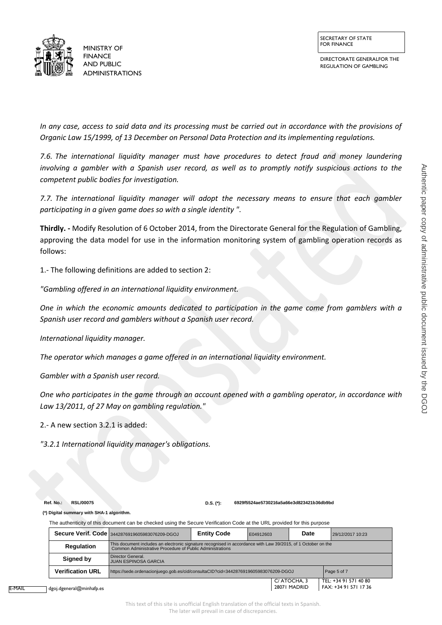DIRECTORATE GENERALFOR THE REGULATION OF GAMBLING



*In any case, access to said data and its processing must be carried out in accordance with the provisions of Organic Law 15/1999, of 13 December on Personal Data Protection and its implementing regulations.*

*7.6. The international liquidity manager must have procedures to detect fraud and money laundering involving a gambler with a Spanish user record, as well as to promptly notify suspicious actions to the competent public bodies for investigation.*

*7.7. The international liquidity manager will adopt the necessary means to ensure that each gambler participating in a given game does so with a single identity "*.

**Thirdly. -** Modify Resolution of 6 October 2014, from the Directorate General for the Regulation of Gambling, approving the data model for use in the information monitoring system of gambling operation records as follows:

1.- The following definitions are added to section 2:

*"Gambling offered in an international liquidity environment.*

*One in which the economic amounts dedicated to participation in the game come from gamblers with a Spanish user record and gamblers without a Spanish user record.*

*International liquidity manager.*

*The operator which manages a game offered in an international liquidity environment.* 

*Gambler with a Spanish user record.*

*One who participates in the game through an account opened with a gambling operator, in accordance with Law 13/2011, of 27 May on gambling regulation."*

2.- A new section 3.2.1 is added:

*"3.2.1 International liquidity manager's obligations.*

**Ref. No.: RSL/00075 D.S. (\*): 6929f5524ae5730216a5a66e3d823421b36db9bd**

**(\*) Digital summary with SHA-1 algorithm.**

The authenticity of this document can be checked using the Secure Verification Code at the URL provided for this purpose

|                                                                                                                                                                                                 | Secure Verif. Code 3442876919605983076209-DGOJ                                                     | <b>Entity Code</b> | E04912603 | Date                        | 29/12/2017 10:23                               |  |
|-------------------------------------------------------------------------------------------------------------------------------------------------------------------------------------------------|----------------------------------------------------------------------------------------------------|--------------------|-----------|-----------------------------|------------------------------------------------|--|
| This document includes an electronic signature recognised in accordance with Law 39/2015, of 1 October on the<br><b>Regulation</b><br>Common Administrative Procedure of Public Administrations |                                                                                                    |                    |           |                             |                                                |  |
| Signed by                                                                                                                                                                                       | Director General.<br><b>JUAN ESPINOSA GARCIA</b>                                                   |                    |           |                             |                                                |  |
| <b>Verification URL</b>                                                                                                                                                                         | https://sede.ordenacionjuego.gob.es/cid/consultaCID?cid=3442876919605983076209-DGOJ<br>Page 5 of 7 |                    |           |                             |                                                |  |
| dgoj.dgeneral@minhafp.es                                                                                                                                                                        |                                                                                                    |                    |           | C/ATOCHA, 3<br>28071 MADRID | TEL: +34 91 571 40 80<br>FAX: +34 91 571 17 36 |  |

E-MAIL

This text of this site is unofficial English translation of the official texts in Spanish. The later will prevail in case of discrepancies.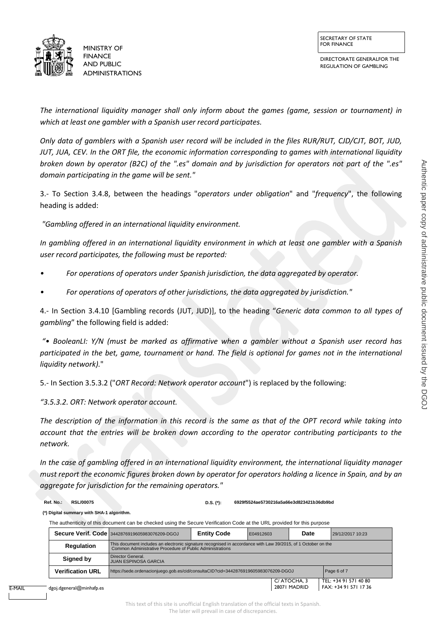

DIRECTORATE GENERALFOR THE REGULATION OF GAMBLING



*The international liquidity manager shall only inform about the games (game, session or tournament) in which at least one gambler with a Spanish user record participates.*

*Only data of gamblers with a Spanish user record will be included in the files RUR/RUT, CJD/CJT, BOT, JUD, JUT, JUA, CEV. In the ORT file, the economic information corresponding to games with international liquidity broken down by operator (B2C) of the ".es" domain and by jurisdiction for operators not part of the ".es" domain participating in the game will be sent."*

3.- To Section 3.4.8, between the headings "*operators under obligation*" and "*frequency*", the following heading is added:

*"Gambling offered in an international liquidity environment.*

*In gambling offered in an international liquidity environment in which at least one gambler with a Spanish user record participates, the following must be reported:*

- *• For operations of operators under Spanish jurisdiction, the data aggregated by operator.*
- *• For operations of operators of other jurisdictions, the data aggregated by jurisdiction."*

4.- In Section 3.4.10 [Gambling records (JUT, JUD)], to the heading "*Generic data common to all types of gambling*" the following field is added:

*"• BooleanLI: Y/N (must be marked as affirmative when a gambler without a Spanish user record has participated in the bet, game, tournament or hand. The field is optional for games not in the international liquidity network).*"

5.- In Section 3.5.3.2 ("*ORT Record: Network operator account*") is replaced by the following:

*"3.5.3.2. ORT: Network operator account.*

*The description of the information in this record is the same as that of the OPT record while taking into account that the entries will be broken down according to the operator contributing participants to the network.*

*In the case of gambling offered in an international liquidity environment, the international liquidity manager must report the economic figures broken down by operator for operators holding a licence in Spain, and by an aggregate for jurisdiction for the remaining operators."*

E-MAIL

**Ref. No.: RSL/00075 D.S. (\*): 6929f5524ae5730216a5a66e3d823421b36db9bd**

**(\*) Digital summary with SHA-1 algorithm.**

The authenticity of this document can be checked using the Secure Verification Code at the URL provided for this purpose

|                          |                         | <b>Secure Verif. Code 3442876919605983076209-DGOJ</b>                                                                                                                      | <b>Entity Code</b> | E04912603 | Date                        | 29/12/2017 10:23                               |  |
|--------------------------|-------------------------|----------------------------------------------------------------------------------------------------------------------------------------------------------------------------|--------------------|-----------|-----------------------------|------------------------------------------------|--|
|                          | Regulation              | This document includes an electronic signature recognised in accordance with Law 39/2015, of 1 October on the<br>Common Administrative Procedure of Public Administrations |                    |           |                             |                                                |  |
|                          | Signed by               | Director General.<br><b>JUAN ESPINOSA GARCIA</b>                                                                                                                           |                    |           |                             |                                                |  |
|                          | <b>Verification URL</b> | https://sede.ordenacionjuego.gob.es/cid/consultaCID?cid=3442876919605983076209-DGOJ<br>Page 6 of 7                                                                         |                    |           |                             |                                                |  |
| dgoj.dgeneral@minhafp.es |                         |                                                                                                                                                                            |                    |           | C/ATOCHA, 3<br>28071 MADRID | TEL: +34 91 571 40 80<br>FAX: +34 91 571 17 36 |  |